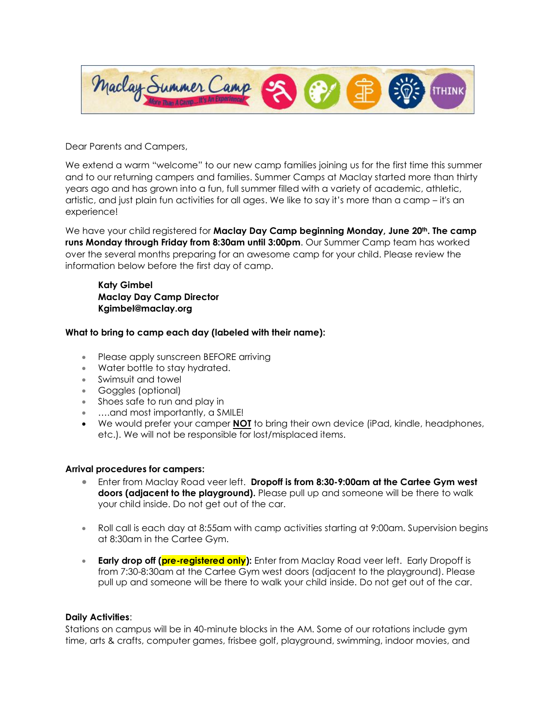

Dear Parents and Campers,

We extend a warm "welcome" to our new camp families joining us for the first time this summer and to our returning campers and families. Summer Camps at Maclay started more than thirty years ago and has grown into a fun, full summer filled with a variety of academic, athletic, artistic, and just plain fun activities for all ages. We like to say it's more than a camp – it's an experience!

We have your child registered for **Maclay Day Camp beginning Monday, June 20th. The camp runs Monday through Friday from 8:30am until 3:00pm**. Our Summer Camp team has worked over the several months preparing for an awesome camp for your child. Please review the information below before the first day of camp.

**Katy Gimbel Maclay Day Camp Director Kgimbel@maclay.org** 

#### **What to bring to camp each day (labeled with their name):**

- Please apply sunscreen BEFORE arriving
- Water bottle to stay hydrated.
- Swimsuit and towel
- Goggles (optional)
- Shoes safe to run and play in
- ….and most importantly, a SMILE!
- We would prefer your camper **NOT** to bring their own device (iPad, kindle, headphones, etc.). We will not be responsible for lost/misplaced items.

#### **Arrival procedures for campers:**

- Enter from Maclay Road veer left. **Dropoff is from 8:30-9:00am at the Cartee Gym west doors (adjacent to the playground).** Please pull up and someone will be there to walk your child inside. Do not get out of the car.
- Roll call is each day at 8:55am with camp activities starting at 9:00am. Supervision begins at 8:30am in the Cartee Gym.
- **Early drop off (pre-registered only):** Enter from Maclay Road veer left. Early Dropoff is from 7:30-8:30am at the Cartee Gym west doors (adjacent to the playground). Please pull up and someone will be there to walk your child inside. Do not get out of the car.

#### **Daily Activities**:

Stations on campus will be in 40-minute blocks in the AM. Some of our rotations include gym time, arts & crafts, computer games, frisbee golf, playground, swimming, indoor movies, and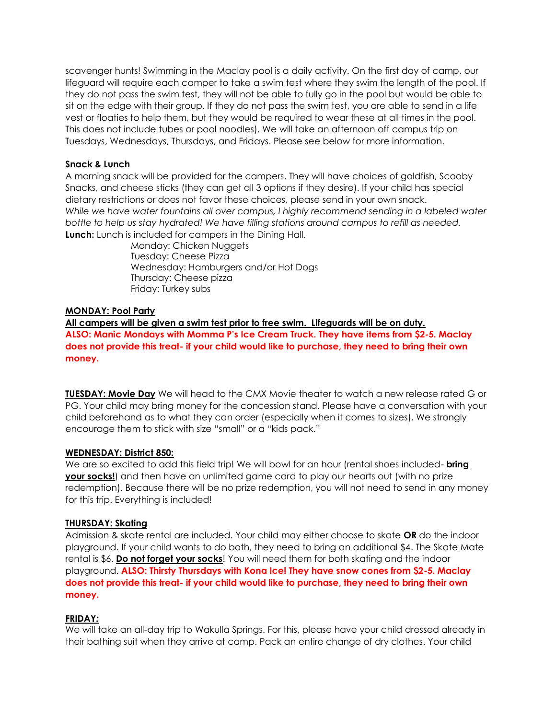scavenger hunts! Swimming in the Maclay pool is a daily activity. On the first day of camp, our lifeguard will require each camper to take a swim test where they swim the length of the pool. If they do not pass the swim test, they will not be able to fully go in the pool but would be able to sit on the edge with their group. If they do not pass the swim test, you are able to send in a life vest or floaties to help them, but they would be required to wear these at all times in the pool. This does not include tubes or pool noodles). We will take an afternoon off campus trip on Tuesdays, Wednesdays, Thursdays, and Fridays. Please see below for more information.

# **Snack & Lunch**

A morning snack will be provided for the campers. They will have choices of goldfish, Scooby Snacks, and cheese sticks (they can get all 3 options if they desire). If your child has special dietary restrictions or does not favor these choices, please send in your own snack. *While we have water fountains all over campus, I highly recommend sending in a labeled water bottle to help us stay hydrated! We have filling stations around campus to refill as needed.* **Lunch:** Lunch is included for campers in the Dining Hall.

Monday: Chicken Nuggets Tuesday: Cheese Pizza Wednesday: Hamburgers and/or Hot Dogs Thursday: Cheese pizza Friday: Turkey subs

#### **MONDAY: Pool Party**

**All campers will be given a swim test prior to free swim. Lifeguards will be on duty. ALSO: Manic Mondays with Momma P's Ice Cream Truck. They have items from \$2-5. Maclay does not provide this treat- if your child would like to purchase, they need to bring their own money.** 

**TUESDAY: Movie Day** We will head to the CMX Movie theater to watch a new release rated G or PG. Your child may bring money for the concession stand. Please have a conversation with your child beforehand as to what they can order (especially when it comes to sizes). We strongly encourage them to stick with size "small" or a "kids pack."

#### **WEDNESDAY: District 850:**

We are so excited to add this field trip! We will bowl for an hour (rental shoes included- **bring your socks!**) and then have an unlimited game card to play our hearts out (with no prize redemption). Because there will be no prize redemption, you will not need to send in any money for this trip. Everything is included!

#### **THURSDAY: Skating**

Admission & skate rental are included. Your child may either choose to skate **OR** do the indoor playground. If your child wants to do both, they need to bring an additional \$4. The Skate Mate rental is \$6. **Do not forget your socks**! You will need them for both skating and the indoor playground. **ALSO: Thirsty Thursdays with Kona Ice! They have snow cones from \$2-5. Maclay does not provide this treat- if your child would like to purchase, they need to bring their own money.** 

# **FRIDAY***:*

We will take an all-day trip to Wakulla Springs. For this, please have your child dressed already in their bathing suit when they arrive at camp. Pack an entire change of dry clothes. Your child